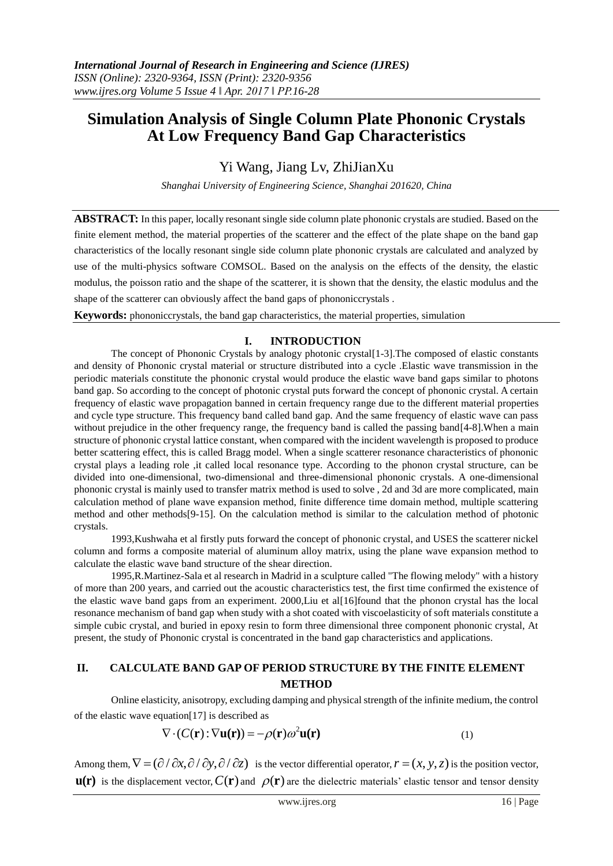# **Simulation Analysis of Single Column Plate Phononic Crystals At Low Frequency Band Gap Characteristics**

Yi Wang, Jiang Lv, ZhiJianXu

*Shanghai University of Engineering Science, Shanghai 201620, China*

**ABSTRACT:** In this paper, locally resonant single side column plate phononic crystals are studied. Based on the finite element method, the material properties of the scatterer and the effect of the plate shape on the band gap characteristics of the locally resonant single side column plate phononic crystals are calculated and analyzed by use of the multi-physics software COMSOL. Based on the analysis on the effects of the density, the elastic modulus, the poisson ratio and the shape of the scatterer, it is shown that the density, the elastic modulus and the shape of the scatterer can obviously affect the band gaps of phononiccrystals .

**Keywords:** phononiccrystals, the band gap characteristics, the material properties, simulation

#### **I. INTRODUCTION**

The concept of Phononic Crystals by analogy photonic crystal[1-3].The composed of elastic constants and density of Phononic crystal material or structure distributed into a cycle .Elastic wave transmission in the periodic materials constitute the phononic crystal would produce the elastic wave band gaps similar to photons band gap. So according to the concept of photonic crystal puts forward the concept of phononic crystal. A certain frequency of elastic wave propagation banned in certain frequency range due to the different material properties and cycle type structure. This frequency band called band gap. And the same frequency of elastic wave can pass without prejudice in the other frequency range, the frequency band is called the passing band[4-8]. When a main structure of phononic crystal lattice constant, when compared with the incident wavelength is proposed to produce better scattering effect, this is called Bragg model. When a single scatterer resonance characteristics of phononic crystal plays a leading role ,it called local resonance type. According to the phonon crystal structure, can be divided into one-dimensional, two-dimensional and three-dimensional phononic crystals. A one-dimensional phononic crystal is mainly used to transfer matrix method is used to solve , 2d and 3d are more complicated, main calculation method of plane wave expansion method, finite difference time domain method, multiple scattering method and other methods[9-15]. On the calculation method is similar to the calculation method of photonic crystals.

1993,Kushwaha et al firstly puts forward the concept of phononic crystal, and USES the scatterer nickel column and forms a composite material of aluminum alloy matrix, using the plane wave expansion method to calculate the elastic wave band structure of the shear direction.

1995,R.Martinez-Sala et al research in Madrid in a sculpture called "The flowing melody" with a history of more than 200 years, and carried out the acoustic characteristics test, the first time confirmed the existence of the elastic wave band gaps from an experiment. 2000,Liu et al[16]found that the phonon crystal has the local resonance mechanism of band gap when study with a shot coated with viscoelasticity of soft materials constitute a simple cubic crystal, and buried in epoxy resin to form three dimensional three component phononic crystal, At present, the study of Phononic crystal is concentrated in the band gap characteristics and applications.

## **II. CALCULATE BAND GAP OF PERIOD STRUCTURE BY THE FINITE ELEMENT METHOD**

Online elasticity, anisotropy, excluding damping and physical strength of the infinite medium, the control of the elastic wave equation[17] is described as

$$
\nabla \cdot (C(\mathbf{r}): \nabla \mathbf{u}(\mathbf{r})) = -\rho(\mathbf{r})\omega^2 \mathbf{u}(\mathbf{r})
$$
(1)

Among them,  $\nabla = (\partial / \partial x, \partial / \partial y, \partial / \partial z)$  is the vector differential operator,  $r = (x, y, z)$  is the position vector,  $\mathbf{u}(\mathbf{r})$  is the displacement vector,  $C(\mathbf{r})$  and  $\rho(\mathbf{r})$  are the dielectric materials' elastic tensor and tensor density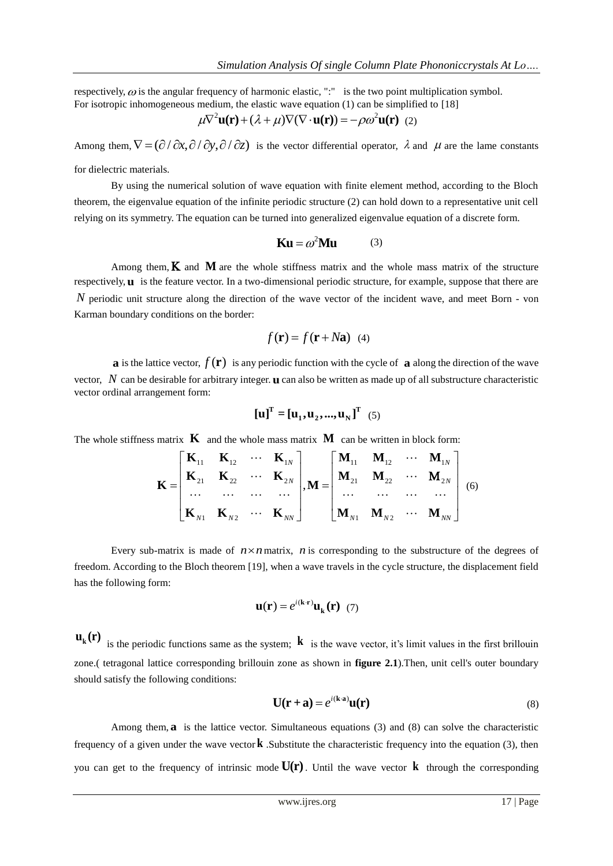respectively,  $\omega$  is the angular frequency of harmonic elastic, ":" is the two point multiplication symbol. For isotropic inhomogeneous medium, the elastic wave equation (1) can be simplified to [18]<br> $\mu \nabla^2 \mathbf{u}(\mathbf{r}) + (\lambda + \mu) \nabla (\nabla \cdot \mathbf{u}(\mathbf{r})) = -\rho \omega^2 \mathbf{u}(\mathbf{r})$  (2)

$$
\mu \nabla^2 \mathbf{u}(\mathbf{r}) + (\lambda + \mu) \nabla (\nabla \cdot \mathbf{u}(\mathbf{r})) = -\rho \omega^2 \mathbf{u}(\mathbf{r}) \tag{2}
$$

Among them,  $\nabla = (\partial/\partial x, \partial/\partial y, \partial/\partial z)$  is the vector differential operator,  $\lambda$  and  $\mu$  are the lame constants

for dielectric materials.

By using the numerical solution of wave equation with finite element method, according to the Bloch theorem, the eigenvalue equation of the infinite periodic structure (2) can hold down to a representative unit cell relying on its symmetry. The equation can be turned into generalized eigenvalue equation of a discrete form.

$$
Ku = \omega^2 M u \qquad (3)
$$

Among them,  $K$  and  $M$  are the whole stiffness matrix and the whole mass matrix of the structure respectively, **u** is the feature vector. In a two-dimensional periodic structure, for example, suppose that there are *N* periodic unit structure along the direction of the wave vector of the incident wave, and meet Born - von Karman boundary conditions on the border:

$$
f(\mathbf{r}) = f(\mathbf{r} + N\mathbf{a}) \quad (4)
$$

**a** is the lattice vector,  $f(\mathbf{r})$  is any periodic function with the cycle of **a** along the direction of the wave vector, N can be desirable for arbitrary integer. **u** can also be written as made up of all substructure characteristic vector ordinal arrangement form:

$$
\begin{bmatrix} \mathbf{u} \end{bmatrix}^{\mathrm{T}} = \begin{bmatrix} \mathbf{u}_1, \mathbf{u}_2, ..., \mathbf{u}_N \end{bmatrix}^{\mathrm{T}} \quad (5)
$$

The whole stiffness matrix  $\bf{K}$  and the whole mass matrix  $\bf{M}$  can be written in block form:

matrix **K** and the whole mass matrix **M** can be written in block form:  
\n
$$
\mathbf{K} = \begin{bmatrix}\n\mathbf{K}_{11} & \mathbf{K}_{12} & \cdots & \mathbf{K}_{1N} \\
\mathbf{K}_{21} & \mathbf{K}_{22} & \cdots & \mathbf{K}_{2N} \\
\cdots & \cdots & \cdots & \cdots \\
\mathbf{K}_{N1} & \mathbf{K}_{N2} & \cdots & \mathbf{K}_{NN}\n\end{bmatrix}, \mathbf{M} = \begin{bmatrix}\n\mathbf{M}_{11} & \mathbf{M}_{12} & \cdots & \mathbf{M}_{1N} \\
\mathbf{M}_{21} & \mathbf{M}_{22} & \cdots & \mathbf{M}_{2N} \\
\cdots & \cdots & \cdots & \cdots \\
\mathbf{M}_{N1} & \mathbf{M}_{N2} & \cdots & \mathbf{M}_{NN}\n\end{bmatrix}
$$
\n(6)

Every sub-matrix is made of  $n \times n$  matrix, *n* is corresponding to the substructure of the degrees of freedom. According to the Bloch theorem [19], when a wave travels in the cycle structure, the displacement field has the following form:

$$
\mathbf{u}(\mathbf{r}) = e^{i(\mathbf{k}\cdot\mathbf{r})}\mathbf{u}_{\mathbf{k}}(\mathbf{r}) \tag{7}
$$

 $\mathbf{u}_{k}(\mathbf{r})$ is the periodic functions same as the system;  $\bf{k}$  is the wave vector, it's limit values in the first brillouin zone.( tetragonal lattice corresponding brillouin zone as shown in **figure 2.1**).Then, unit cell's outer boundary should satisfy the following conditions:

$$
\mathbf{U}(\mathbf{r} + \mathbf{a}) = e^{i(\mathbf{k} \cdot \mathbf{a})} \mathbf{u}(\mathbf{r}) \tag{8}
$$

Among them, a is the lattice vector. Simultaneous equations (3) and (8) can solve the characteristic frequency of a given under the wave vector **k**. Substitute the characteristic frequency into the equation  $(3)$ , then you can get to the frequency of intrinsic mode **U(r)** . Until the wave vector **k** through the corresponding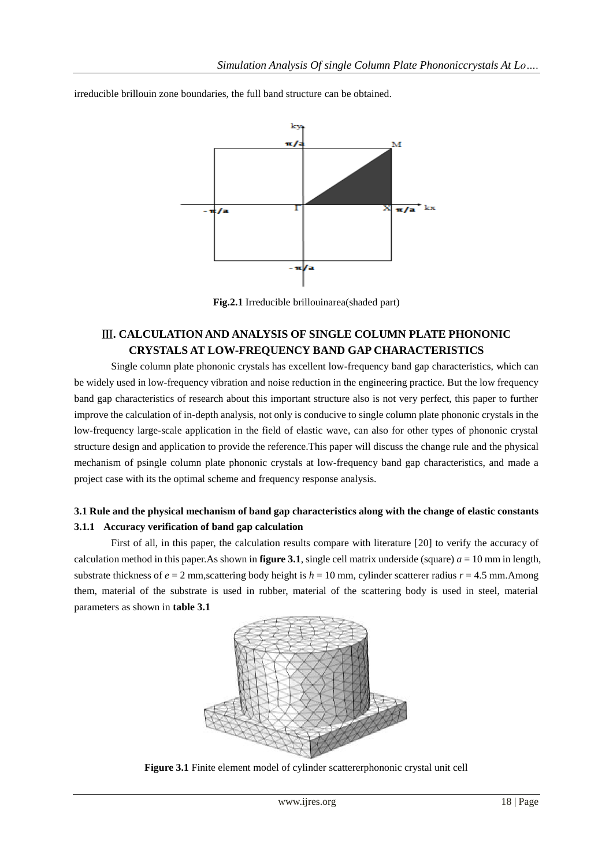

irreducible brillouin zone boundaries, the full band structure can be obtained.

**Fig.2.1** Irreducible brillouinarea(shaded part)

## Ⅲ**. CALCULATION AND ANALYSIS OF SINGLE COLUMN PLATE PHONONIC CRYSTALS AT LOW-FREQUENCY BAND GAP CHARACTERISTICS**

Single column plate phononic crystals has excellent low-frequency band gap characteristics, which can be widely used in low-frequency vibration and noise reduction in the engineering practice. But the low frequency band gap characteristics of research about this important structure also is not very perfect, this paper to further improve the calculation of in-depth analysis, not only is conducive to single column plate phononic crystals in the low-frequency large-scale application in the field of elastic wave, can also for other types of phononic crystal structure design and application to provide the reference.This paper will discuss the change rule and the physical mechanism of psingle column plate phononic crystals at low-frequency band gap characteristics, and made a project case with its the optimal scheme and frequency response analysis.

## **3.1 Rule and the physical mechanism of band gap characteristics along with the change of elastic constants 3.1.1 Accuracy verification of band gap calculation**

First of all, in this paper, the calculation results compare with literature [20] to verify the accuracy of calculation method in this paper.As shown in **figure 3.1**, single cell matrix underside (square)  $a = 10$  mm in length, substrate thickness of  $e = 2$  mm, scattering body height is  $h = 10$  mm, cylinder scatterer radius  $r = 4.5$  mm. Among them, material of the substrate is used in rubber, material of the scattering body is used in steel, material parameters as shown in **table 3.1**



**Figure 3.1** Finite element model of cylinder scattererphononic crystal unit cell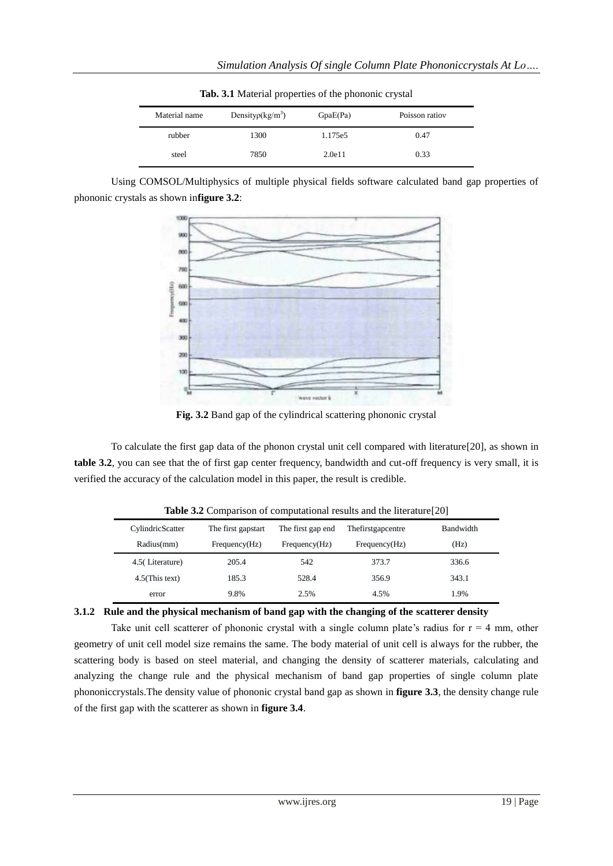| where the model properties of the phonome of four |                                     |          |                |  |  |
|---------------------------------------------------|-------------------------------------|----------|----------------|--|--|
| Material name                                     | Density $\rho$ (kg/m <sup>3</sup> ) | GpaE(Pa) | Poisson ratiov |  |  |
| rubber                                            | 1300                                | 1.175e5  | 0.47           |  |  |
| steel                                             | 7850                                | 2.0e11   | 0.33           |  |  |

**Tab. 3.1** Material properties of the phononic crystal

Using COMSOL/Multiphysics of multiple physical fields software calculated band gap properties of phononic crystals as shown in**figure 3.2**:



**Fig. 3.2** Band gap of the cylindrical scattering phononic crystal

To calculate the first gap data of the phonon crystal unit cell compared with literature[20], as shown in **table 3.2**, you can see that the of first gap center frequency, bandwidth and cut-off frequency is very small, it is verified the accuracy of the calculation model in this paper, the result is credible.

| CylindricScatter  | The first gapstart | The first gap end | The first gap centre | <b>Bandwidth</b> |
|-------------------|--------------------|-------------------|----------------------|------------------|
| Radius(mm)        | Frequency(Hz)      | Frequency(Hz)     | Frequency(Hz)        | (Hz)             |
| 4.5 (Literature)  | 205.4              | 542               | 373.7                | 336.6            |
| $4.5$ (This text) | 185.3              | 528.4             | 356.9                | 343.1            |
| error             | 9.8%               | 2.5%              | 4.5%                 | 1.9%             |

**Table 3.2** Comparison of computational results and the literature[20]

#### **3.1.2 Rule and the physical mechanism of band gap with the changing of the scatterer density**

Take unit cell scatterer of phononic crystal with a single column plate's radius for  $r = 4$  mm, other geometry of unit cell model size remains the same. The body material of unit cell is always for the rubber, the scattering body is based on steel material, and changing the density of scatterer materials, calculating and analyzing the change rule and the physical mechanism of band gap properties of single column plate phononiccrystals.The density value of phononic crystal band gap as shown in **figure 3.3**, the density change rule of the first gap with the scatterer as shown in **figure 3.4**.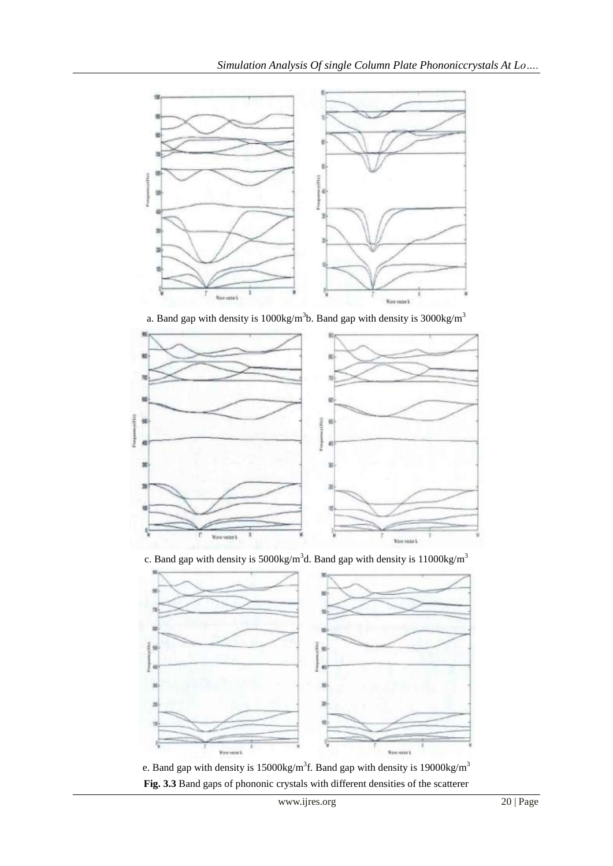

a. Band gap with density is  $1000 \text{kg/m}^3$ b. Band gap with density is  $3000 \text{kg/m}^3$ 



c. Band gap with density is  $5000 \text{kg/m}^3$ d. Band gap with density is  $11000 \text{kg/m}^3$ 



e. Band gap with density is 15000kg/m<sup>3</sup>f. Band gap with density is 19000kg/m<sup>3</sup> **Fig. 3.3** Band gaps of phononic crystals with different densities of the scatterer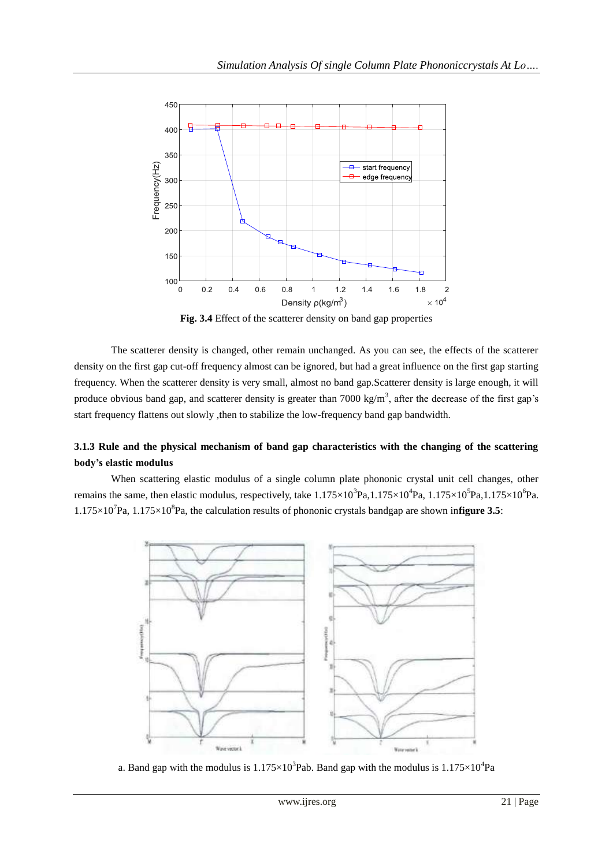

**Fig. 3.4** Effect of the scatterer density on band gap properties

The scatterer density is changed, other remain unchanged. As you can see, the effects of the scatterer density on the first gap cut-off frequency almost can be ignored, but had a great influence on the first gap starting frequency. When the scatterer density is very small, almost no band gap.Scatterer density is large enough, it will produce obvious band gap, and scatterer density is greater than 7000 kg/m<sup>3</sup>, after the decrease of the first gap's start frequency flattens out slowly ,then to stabilize the low-frequency band gap bandwidth.

## **3.1.3 Rule and the physical mechanism of band gap characteristics with the changing of the scattering body's elastic modulus**

When scattering elastic modulus of a single column plate phononic crystal unit cell changes, other remains the same, then elastic modulus, respectively, take  $1.175 \times 10^3$ Pa, $1.175 \times 10^4$ Pa,  $1.175 \times 10^5$ Pa, $1.175 \times 10^6$ Pa.  $1.175 \times 10^7$ Pa,  $1.175 \times 10^8$ Pa, the calculation results of phononic crystals bandgap are shown infigure 3.5:



a. Band gap with the modulus is  $1.175 \times 10^3$ Pab. Band gap with the modulus is  $1.175 \times 10^4$ Pa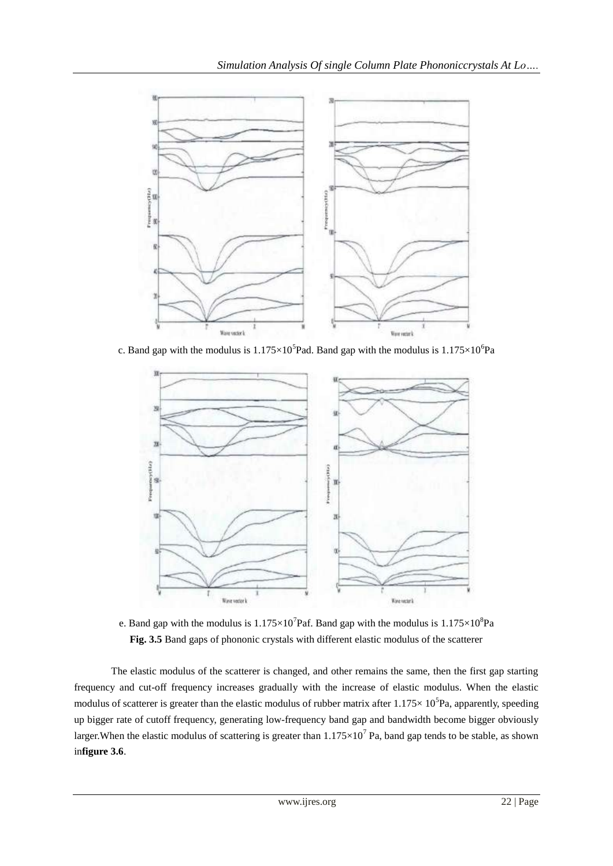

c. Band gap with the modulus is  $1.175 \times 10^5$ Pad. Band gap with the modulus is  $1.175 \times 10^6$ Pa



e. Band gap with the modulus is  $1.175 \times 10^7$  Paf. Band gap with the modulus is  $1.175 \times 10^8$  Pa **Fig. 3.5** Band gaps of phononic crystals with different elastic modulus of the scatterer

The elastic modulus of the scatterer is changed, and other remains the same, then the first gap starting frequency and cut-off frequency increases gradually with the increase of elastic modulus. When the elastic modulus of scatterer is greater than the elastic modulus of rubber matrix after  $1.175 \times 10^5$ Pa, apparently, speeding up bigger rate of cutoff frequency, generating low-frequency band gap and bandwidth become bigger obviously larger. When the elastic modulus of scattering is greater than  $1.175 \times 10^7$  Pa, band gap tends to be stable, as shown in**figure 3.6**.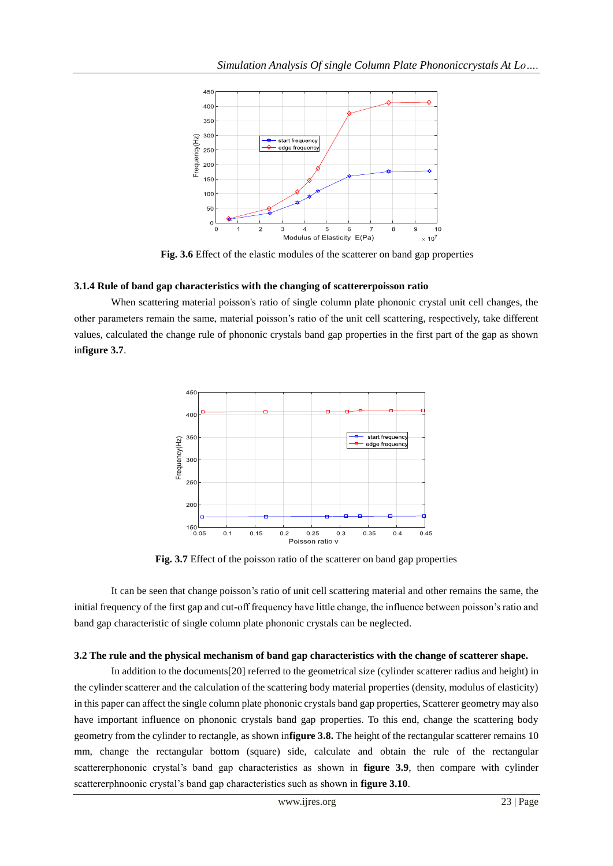

**Fig. 3.6** Effect of the elastic modules of the scatterer on band gap properties

#### **3.1.4 Rule of band gap characteristics with the changing of scattererpoisson ratio**

When scattering material poisson's ratio of single column plate phononic crystal unit cell changes, the other parameters remain the same, material poisson's ratio of the unit cell scattering, respectively, take different values, calculated the change rule of phononic crystals band gap properties in the first part of the gap as shown in**figure 3.7**.



**Fig. 3.7** Effect of the poisson ratio of the scatterer on band gap properties

It can be seen that change poisson's ratio of unit cell scattering material and other remains the same, the initial frequency of the first gap and cut-off frequency have little change, the influence between poisson's ratio and band gap characteristic of single column plate phononic crystals can be neglected.

#### **3.2 The rule and the physical mechanism of band gap characteristics with the change of scatterer shape.**

In addition to the documents[20] referred to the geometrical size (cylinder scatterer radius and height) in the cylinder scatterer and the calculation of the scattering body material properties (density, modulus of elasticity) in this paper can affect the single column plate phononic crystals band gap properties, Scatterer geometry may also have important influence on phononic crystals band gap properties. To this end, change the scattering body geometry from the cylinder to rectangle, as shown in**figure 3.8.** The height of the rectangular scatterer remains 10 mm, change the rectangular bottom (square) side, calculate and obtain the rule of the rectangular scattererphononic crystal's band gap characteristics as shown in **figure 3.9**, then compare with cylinder scattererphnoonic crystal's band gap characteristics such as shown in **figure 3.10**.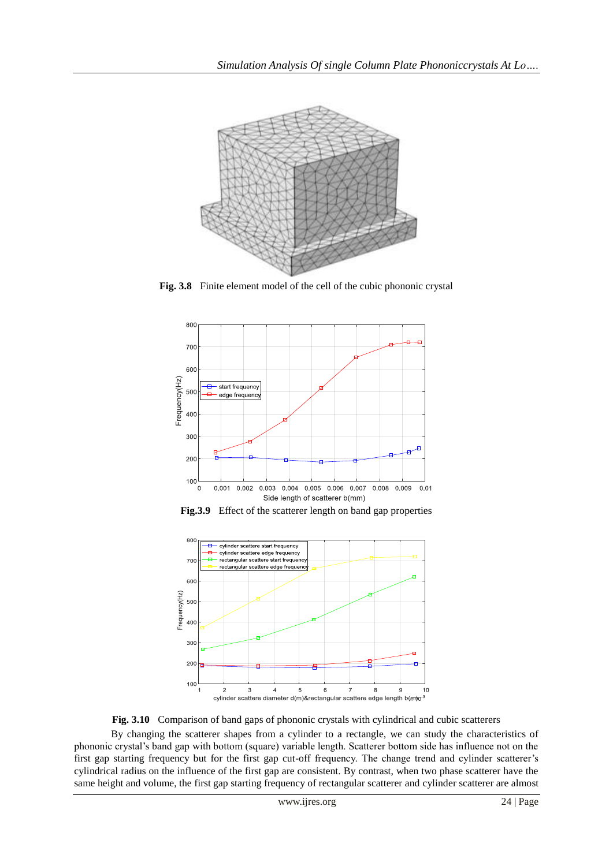

**Fig. 3.8** Finite element model of the cell of the cubic phononic crystal







**Fig. 3.10** Comparison of band gaps of phononic crystals with cylindrical and cubic scatterers

By changing the scatterer shapes from a cylinder to a rectangle, we can study the characteristics of phononic crystal's band gap with bottom (square) variable length. Scatterer bottom side has influence not on the first gap starting frequency but for the first gap cut-off frequency. The change trend and cylinder scatterer's cylindrical radius on the influence of the first gap are consistent. By contrast, when two phase scatterer have the same height and volume, the first gap starting frequency of rectangular scatterer and cylinder scatterer are almost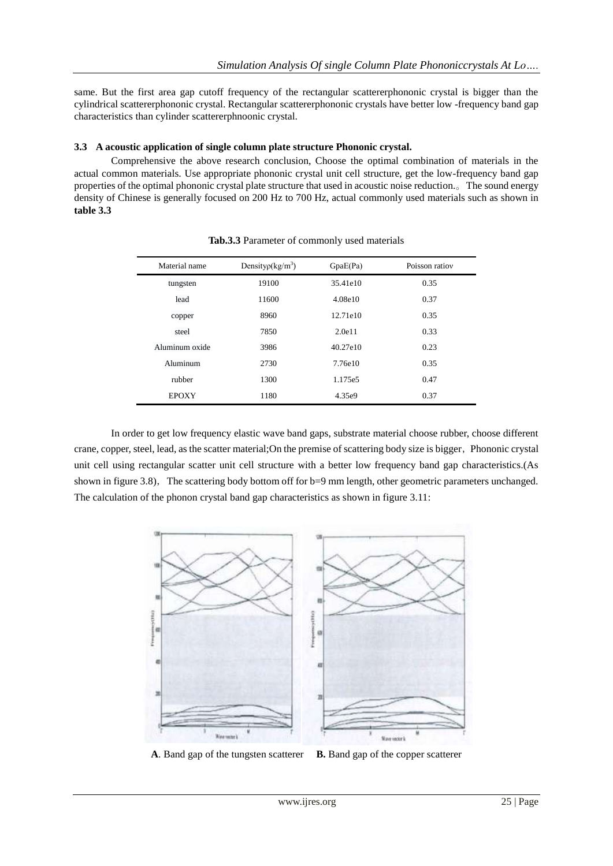same. But the first area gap cutoff frequency of the rectangular scattererphononic crystal is bigger than the cylindrical scattererphononic crystal. Rectangular scattererphononic crystals have better low -frequency band gap characteristics than cylinder scattererphnoonic crystal.

#### **3.3 A acoustic application of single column plate structure Phononic crystal.**

Comprehensive the above research conclusion, Choose the optimal combination of materials in the actual common materials. Use appropriate phononic crystal unit cell structure, get the low-frequency band gap properties of the optimal phononic crystal plate structure that used in acoustic noise reduction.。The sound energy density of Chinese is generally focused on 200 Hz to 700 Hz, actual commonly used materials such as shown in **table 3.3**

| Material name  | Density $\rho$ (kg/m <sup>3</sup> ) | GpaE(Pa) | Poisson ratiov |
|----------------|-------------------------------------|----------|----------------|
| tungsten       | 19100                               | 35.41e10 | 0.35           |
| lead           | 11600                               | 4.08e10  | 0.37           |
| copper         | 8960                                | 12.71e10 | 0.35           |
| steel          | 7850                                | 2.0e11   | 0.33           |
| Aluminum oxide | 3986                                | 40.27e10 | 0.23           |
| Aluminum       | 2730                                | 7.76e10  | 0.35           |
| rubber         | 1300                                | 1.175e5  | 0.47           |
| <b>EPOXY</b>   | 1180                                | 4.35e9   | 0.37           |

**Tab.3.3** Parameter of commonly used materials

In order to get low frequency elastic wave band gaps, substrate material choose rubber, choose different crane, copper, steel, lead, as the scatter material;On the premise of scattering body size is bigger,Phononic crystal unit cell using rectangular scatter unit cell structure with a better low frequency band gap characteristics.(As shown in figure 3.8), The scattering body bottom off for b=9 mm length, other geometric parameters unchanged. The calculation of the phonon crystal band gap characteristics as shown in figure 3.11:



**A**. Band gap of the tungsten scatterer **B.** Band gap of the copper scatterer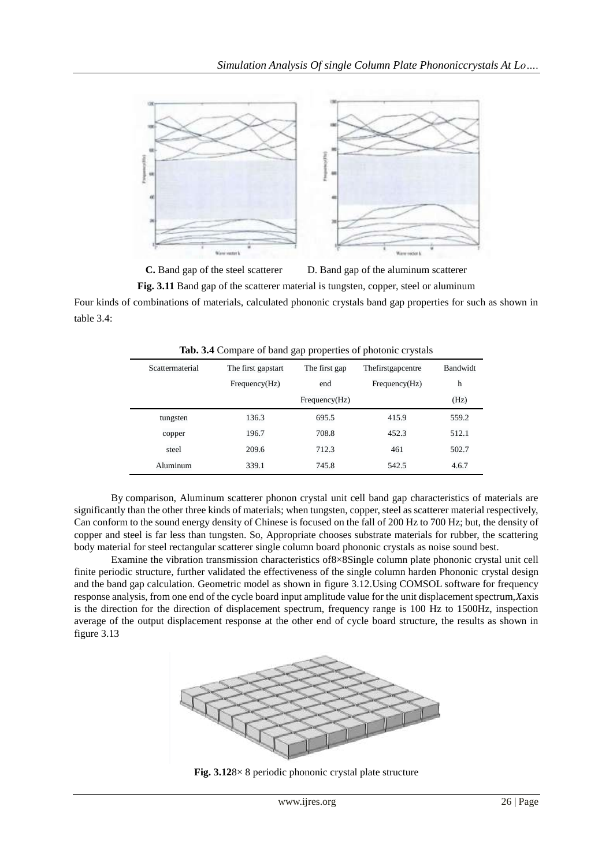

**C.** Band gap of the steel scatterer D. Band gap of the aluminum scatterer

**Fig. 3.11** Band gap of the scatterer material is tungsten, copper, steel or aluminum

Four kinds of combinations of materials, calculated phononic crystals band gap properties for such as shown in table 3.4:

| $\frac{1}{2}$ and $\frac{1}{2}$ are $\frac{1}{2}$ and $\frac{1}{2}$ and $\frac{1}{2}$ are proposition of protonts of $\frac{1}{2}$ and $\frac{1}{2}$ |                    |               |                   |                           |  |
|------------------------------------------------------------------------------------------------------------------------------------------------------|--------------------|---------------|-------------------|---------------------------|--|
| Scattermaterial                                                                                                                                      | The first gapstart | The first gap | Thefirstgapcentre | Bandwidt                  |  |
|                                                                                                                                                      | Frequency(Hz)      | end           | Frequency(Hz)     | $\boldsymbol{\mathsf{h}}$ |  |
|                                                                                                                                                      |                    | Frequency(Hz) |                   | (Hz)                      |  |
| tungsten                                                                                                                                             | 136.3              | 695.5         | 415.9             | 559.2                     |  |
| copper                                                                                                                                               | 196.7              | 708.8         | 452.3             | 512.1                     |  |
| steel                                                                                                                                                | 209.6              | 712.3         | 461               | 502.7                     |  |
| Aluminum                                                                                                                                             | 339.1              | 745.8         | 542.5             | 4.6.7                     |  |

**Tab. 3.4** Compare of band gap properties of photonic crystals

By comparison, Aluminum scatterer phonon crystal unit cell band gap characteristics of materials are significantly than the other three kinds of materials; when tungsten, copper, steel as scatterer material respectively, Can conform to the sound energy density of Chinese is focused on the fall of 200 Hz to 700 Hz; but, the density of copper and steel is far less than tungsten. So, Appropriate chooses substrate materials for rubber, the scattering body material for steel rectangular scatterer single column board phononic crystals as noise sound best.

Examine the vibration transmission characteristics of8×8Single column plate phononic crystal unit cell finite periodic structure, further validated the effectiveness of the single column harden Phononic crystal design and the band gap calculation. Geometric model as shown in figure 3.12.Using COMSOL software for frequency response analysis, from one end of the cycle board input amplitude value for the unit displacement spectrum,*X*axis is the direction for the direction of displacement spectrum, frequency range is 100 Hz to 1500Hz, inspection average of the output displacement response at the other end of cycle board structure, the results as shown in figure 3.13



**Fig. 3.12**8× 8 periodic phononic crystal plate structure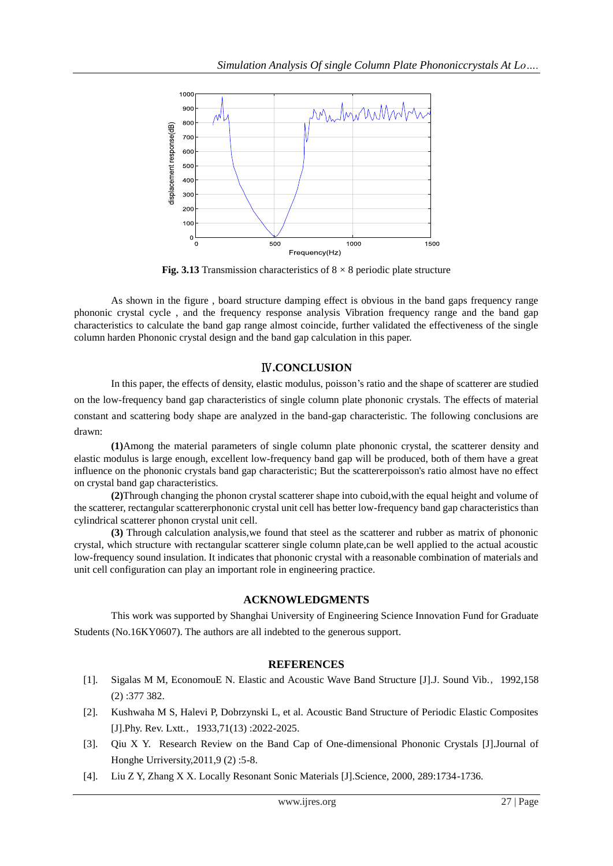

**Fig. 3.13** Transmission characteristics of  $8 \times 8$  periodic plate structure

As shown in the figure , board structure damping effect is obvious in the band gaps frequency range phononic crystal cycle , and the frequency response analysis Vibration frequency range and the band gap characteristics to calculate the band gap range almost coincide, further validated the effectiveness of the single column harden Phononic crystal design and the band gap calculation in this paper.

### Ⅳ**.CONCLUSION**

In this paper, the effects of density, elastic modulus, poisson's ratio and the shape of scatterer are studied on the low-frequency band gap characteristics of single column plate phononic crystals. The effects of material constant and scattering body shape are analyzed in the band-gap characteristic. The following conclusions are drawn:

**(1)**Among the material parameters of single column plate phononic crystal, the scatterer density and elastic modulus is large enough, excellent low-frequency band gap will be produced, both of them have a great influence on the phononic crystals band gap characteristic; But the scattererpoisson's ratio almost have no effect on crystal band gap characteristics.

**(2)**Through changing the phonon crystal scatterer shape into cuboid,with the equal height and volume of the scatterer, rectangular scattererphononic crystal unit cell has better low-frequency band gap characteristics than cylindrical scatterer phonon crystal unit cell.

**(3)** Through calculation analysis,we found that steel as the scatterer and rubber as matrix of phononic crystal, which structure with rectangular scatterer single column plate,can be well applied to the actual acoustic low-frequency sound insulation. It indicates that phononic crystal with a reasonable combination of materials and unit cell configuration can play an important role in engineering practice.

#### **ACKNOWLEDGMENTS**

This work was supported by Shanghai University of Engineering Science Innovation Fund for Graduate Students (No.16KY0607). The authors are all indebted to the generous support.

#### **REFERENCES**

- [1]. Sigalas M M, EconomouE N. Elastic and Acoustic Wave Band Structure [J].J. Sound Vib.,1992,158 (2) :377 382.
- [2]. Kushwaha M S, Halevi P, Dobrzynski L, et al. Acoustic Band Structure of Periodic Elastic Composites [J].Phy. Rev. Lxtt., 1933,71(13) :2022-2025.
- [3]. Qiu X Y. Research Review on the Band Cap of One-dimensional Phononic Crystals [J].Journal of Honghe Urriversity,2011,9 (2) :5-8.
- [4]. Liu Z Y, Zhang X X. Locally Resonant Sonic Materials [J].Science, 2000, 289:1734-1736.